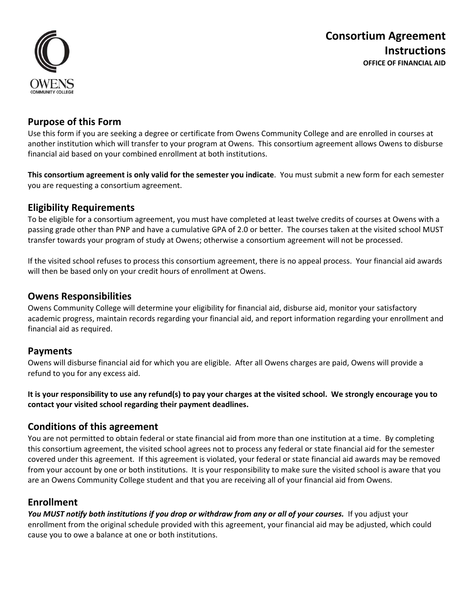

## **Purpose of this Form**

Use this form if you are seeking a degree or certificate from Owens Community College and are enrolled in courses at another institution which will transfer to your program at Owens. This consortium agreement allows Owens to disburse financial aid based on your combined enrollment at both institutions.

**This consortium agreement is only valid for the semester you indicate**. You must submit a new form for each semester you are requesting a consortium agreement.

## **Eligibility Requirements**

To be eligible for a consortium agreement, you must have completed at least twelve credits of courses at Owens with a passing grade other than PNP and have a cumulative GPA of 2.0 or better. The courses taken at the visited school MUST transfer towards your program of study at Owens; otherwise a consortium agreement will not be processed.

If the visited school refuses to process this consortium agreement, there is no appeal process. Your financial aid awards will then be based only on your credit hours of enrollment at Owens.

## **Owens Responsibilities**

Owens Community College will determine your eligibility for financial aid, disburse aid, monitor your satisfactory academic progress, maintain records regarding your financial aid, and report information regarding your enrollment and financial aid as required.

## **Payments**

Owens will disburse financial aid for which you are eligible. After all Owens charges are paid, Owens will provide a refund to you for any excess aid.

**It is your responsibility to use any refund(s) to pay your charges at the visited school. We strongly encourage you to contact your visited school regarding their payment deadlines.** 

## **Conditions of this agreement**

You are not permitted to obtain federal or state financial aid from more than one institution at a time. By completing this consortium agreement, the visited school agrees not to process any federal or state financial aid for the semester covered under this agreement. If this agreement is violated, your federal or state financial aid awards may be removed from your account by one or both institutions. It is your responsibility to make sure the visited school is aware that you are an Owens Community College student and that you are receiving all of your financial aid from Owens.

## **Enrollment**

*You MUST notify both institutions if you drop or withdraw from any or all of your courses.* If you adjust your enrollment from the original schedule provided with this agreement, your financial aid may be adjusted, which could cause you to owe a balance at one or both institutions.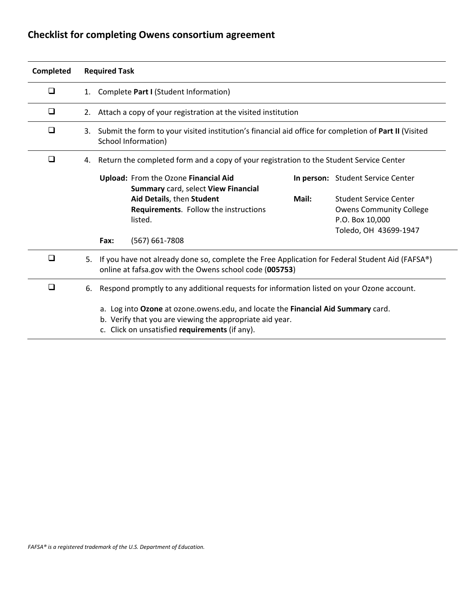# **Checklist for completing Owens consortium agreement**

| Completed |    | <b>Required Task</b>                                                                                                                                                                           |                                                                                                                                                   |       |                                                                                                      |  |  |
|-----------|----|------------------------------------------------------------------------------------------------------------------------------------------------------------------------------------------------|---------------------------------------------------------------------------------------------------------------------------------------------------|-------|------------------------------------------------------------------------------------------------------|--|--|
| ❏         | 1. | Complete Part I (Student Information)                                                                                                                                                          |                                                                                                                                                   |       |                                                                                                      |  |  |
| ❏         | 2. | Attach a copy of your registration at the visited institution                                                                                                                                  |                                                                                                                                                   |       |                                                                                                      |  |  |
| ❏         | 3. | Submit the form to your visited institution's financial aid office for completion of Part II (Visited<br>School Information)                                                                   |                                                                                                                                                   |       |                                                                                                      |  |  |
| □         | 4. |                                                                                                                                                                                                | Return the completed form and a copy of your registration to the Student Service Center                                                           |       |                                                                                                      |  |  |
|           |    |                                                                                                                                                                                                | Upload: From the Ozone Financial Aid<br>Summary card, select View Financial<br>Aid Details, then Student<br>Requirements. Follow the instructions | Mail: | In person: Student Service Center<br><b>Student Service Center</b><br><b>Owens Community College</b> |  |  |
|           |    |                                                                                                                                                                                                | listed.                                                                                                                                           |       | P.O. Box 10,000<br>Toledo, OH 43699-1947                                                             |  |  |
|           |    | Fax:                                                                                                                                                                                           | $(567) 661 - 7808$                                                                                                                                |       |                                                                                                      |  |  |
| ❏         | 5. | If you have not already done so, complete the Free Application for Federal Student Aid (FAFSA®)<br>online at fafsa.gov with the Owens school code (005753)                                     |                                                                                                                                                   |       |                                                                                                      |  |  |
| □         | 6. | Respond promptly to any additional requests for information listed on your Ozone account.                                                                                                      |                                                                                                                                                   |       |                                                                                                      |  |  |
|           |    | a. Log into Ozone at ozone.owens.edu, and locate the Financial Aid Summary card.<br>b. Verify that you are viewing the appropriate aid year.<br>c. Click on unsatisfied requirements (if any). |                                                                                                                                                   |       |                                                                                                      |  |  |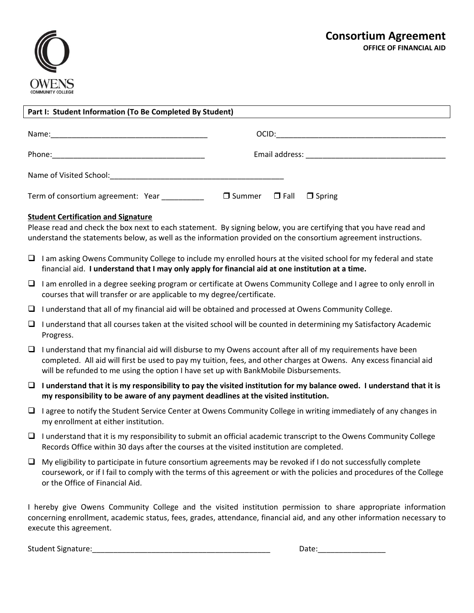

| Part I: Student Information (To Be Completed By Student) |                                            |  |  |  |  |
|----------------------------------------------------------|--------------------------------------------|--|--|--|--|
|                                                          |                                            |  |  |  |  |
|                                                          |                                            |  |  |  |  |
|                                                          |                                            |  |  |  |  |
| Term of consortium agreement: Year                       | $\Box$ Summer $\Box$ Fall<br>$\Box$ Spring |  |  |  |  |

### **Student Certification and Signature**

Please read and check the box next to each statement. By signing below, you are certifying that you have read and understand the statements below, as well as the information provided on the consortium agreement instructions.

- $\Box$  I am asking Owens Community College to include my enrolled hours at the visited school for my federal and state financial aid. **I understand that I may only apply for financial aid at one institution at a time.**
- $\Box$  I am enrolled in a degree seeking program or certificate at Owens Community College and I agree to only enroll in courses that will transfer or are applicable to my degree/certificate.
- $\Box$  I understand that all of my financial aid will be obtained and processed at Owens Community College.
- $\Box$  I understand that all courses taken at the visited school will be counted in determining my Satisfactory Academic Progress.
- $\Box$  I understand that my financial aid will disburse to my Owens account after all of my requirements have been completed. All aid will first be used to pay my tuition, fees, and other charges at Owens. Any excess financial aid will be refunded to me using the option I have set up with BankMobile Disbursements.
- **I understand that it is my responsibility to pay the visited institution for my balance owed. I understand that it is my responsibility to be aware of any payment deadlines at the visited institution.**
- $\Box$  I agree to notify the Student Service Center at Owens Community College in writing immediately of any changes in my enrollment at either institution.
- $\Box$  I understand that it is my responsibility to submit an official academic transcript to the Owens Community College Records Office within 30 days after the courses at the visited institution are completed.
- $\Box$  My eligibility to participate in future consortium agreements may be revoked if I do not successfully complete coursework, or if I fail to comply with the terms of this agreement or with the policies and procedures of the College or the Office of Financial Aid.

I hereby give Owens Community College and the visited institution permission to share appropriate information concerning enrollment, academic status, fees, grades, attendance, financial aid, and any other information necessary to execute this agreement.

Student Signature:\_\_\_\_\_\_\_\_\_\_\_\_\_\_\_\_\_\_\_\_\_\_\_\_\_\_\_\_\_\_\_\_\_\_\_\_\_\_\_\_\_\_ Date:\_\_\_\_\_\_\_\_\_\_\_\_\_\_\_\_